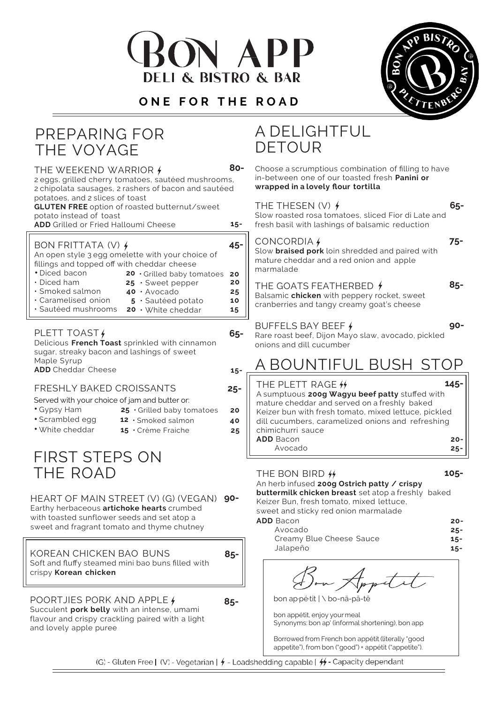





| PREPARING FOR<br>THE VOYAGE                                                                                                                                                                            |                          | A DELIGHTFUL<br><b>DETOUR</b>                                                                                                                                                                                                                                                                            |  |
|--------------------------------------------------------------------------------------------------------------------------------------------------------------------------------------------------------|--------------------------|----------------------------------------------------------------------------------------------------------------------------------------------------------------------------------------------------------------------------------------------------------------------------------------------------------|--|
| THE WEEKEND WARRIOR $\frac{1}{2}$<br>2 eggs, grilled cherry tomatoes, sautéed mushrooms,<br>2 chipolata sausages, 2 rashers of bacon and sautéed                                                       | 80-                      | Choose a scrumptious combination of filling to have<br>in-between one of our toasted fresh Panini or<br>wrapped in a lovely flour tortilla                                                                                                                                                               |  |
| potatoes, and 2 slices of toast<br><b>GLUTEN FREE</b> option of roasted butternut/sweet<br>potato instead of toast<br><b>ADD</b> Grilled or Fried Halloumi Cheese                                      | $15 -$                   | $65 -$<br>THE THESEN $(V)$ $\neq$<br>Slow roasted rosa tomatoes, sliced Fior di Late and<br>fresh basil with lashings of balsamic reduction                                                                                                                                                              |  |
| BON FRITTATA (V) $\frac{1}{2}$<br>An open style 3 egg omelette with your choice of<br>fillings and topped off with cheddar cheese<br>· Diced bacon<br>20 Grilled baby tomatoes                         | $45 -$<br>20             | $75 -$<br>CONCORDIA 4<br>Slow braised pork loin shredded and paired with<br>mature cheddar and a red onion and apple<br>marmalade                                                                                                                                                                        |  |
| • Diced ham<br>$25 \cdot$ Sweet pepper<br>· Smoked salmon<br>40 · Avocado<br>· Caramelised onion<br>5 · Sautéed potato<br>· Sautéed mushrooms 20 · White cheddar                                       | 20<br>25<br>10<br>15     | $85 -$<br>THE GOATS FEATHERBED $\oint$<br>Balsamic chicken with peppery rocket, sweet<br>cranberries and tangy creamy goat's cheese                                                                                                                                                                      |  |
| PLETT TOAST /<br>Delicious French Toast sprinkled with cinnamon<br>sugar, streaky bacon and lashings of sweet                                                                                          | 65-                      | $90-$<br>BUFFELS BAY BEEF +<br>Rare roast beef, Dijon Mayo slaw, avocado, pickled<br>onions and dill cucumber                                                                                                                                                                                            |  |
| Maple Syrup<br><b>ADD</b> Cheddar Cheese                                                                                                                                                               | $15 -$                   | A BOUNTIFUL BUSH STOP                                                                                                                                                                                                                                                                                    |  |
| FRESHLY BAKED CROISSANTS<br>Served with your choice of jam and butter or:<br>• Gypsy Ham<br>25 Grilled baby tomatoes<br>· Scrambled egg<br>12 · Smoked salmon<br>• White cheddar<br>15 · Crème Fraiche | $25 -$<br>20<br>40<br>25 | $145 -$<br>THE PLETT RAGE #<br>A sumptuous 200g Wagyu beef patty stuffed with<br>mature cheddar and served on a freshly baked<br>Keizer bun with fresh tomato, mixed lettuce, pickled<br>dill cucumbers, caramelized onions and refreshing<br>chimichurri sauce<br><b>ADD</b> Bacon<br>$20 -$            |  |
| FIRST STEPS ON                                                                                                                                                                                         |                          | Avocado<br>$25 -$                                                                                                                                                                                                                                                                                        |  |
| THE ROAD<br>HEART OF MAIN STREET (V) (G) (VEGAN) 90-<br>Earthy herbaceous artichoke hearts crumbed<br>with toasted sunflower seeds and set atop a<br>sweet and fragrant tomato and thyme chutney       |                          | 105-<br>THE BON BIRD #<br>An herb infused 200g Ostrich patty / crispy<br>buttermilk chicken breast set atop a freshly baked<br>Keizer Bun, fresh tomato, mixed lettuce,<br>sweet and sticky red onion marmalade<br><b>ADD</b> Bacon<br>$20 -$<br>Avocado<br>$25 -$<br>Creamy Blue Cheese Sauce<br>$15 -$ |  |
| KOREAN CHICKEN BAO BUNS<br>Soft and fluffy steamed mini bao buns filled with<br>crispy Korean chicken                                                                                                  | $85 -$                   | Jalapeño<br>$15 -$                                                                                                                                                                                                                                                                                       |  |
| POORTJIES PORK AND APPLE 4<br>Succulent pork belly with an intense, umami<br>flavour and crispy crackling paired with a light<br>and lovely apple puree                                                | $85 -$                   | bon ap pé tit   \ bo-nä-pā-tē<br>bon appétit, enjoy your meal<br>Synonyms: bon ap' (informal shortening), bon app<br>Borrowed from French bon appétit (literally "good<br>appetite"), from bon ("good") + appétit ("appetite").                                                                          |  |

(G) - Gluten Free | (V) - Vegetarian |  $\frac{1}{7}$  - Loadshedding capable |  $\frac{1}{7}$  - Capacity dependant